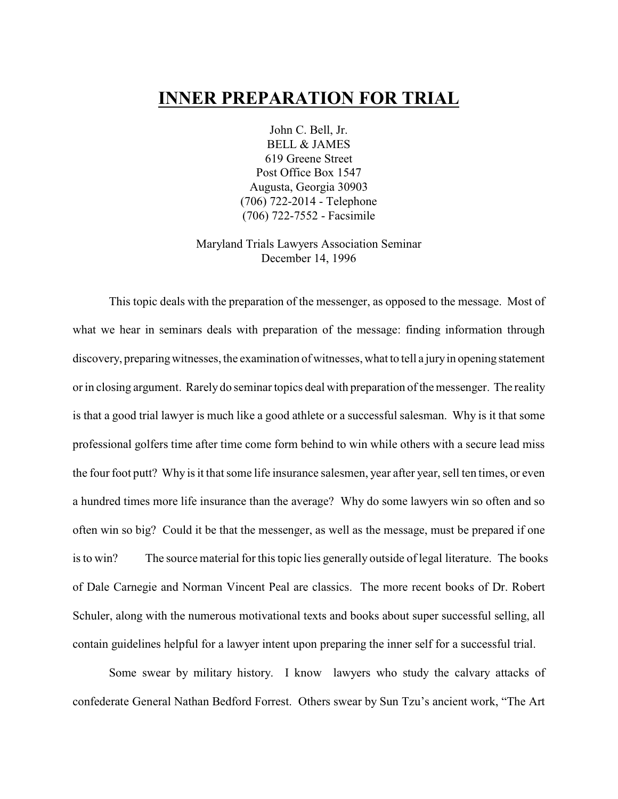# **INNER PREPARATION FOR TRIAL**

John C. Bell, Jr. BELL & JAMES 619 Greene Street Post Office Box 1547 Augusta, Georgia 30903 (706) 722-2014 - Telephone (706) 722-7552 - Facsimile

Maryland Trials Lawyers Association Seminar December 14, 1996

This topic deals with the preparation of the messenger, as opposed to the message. Most of what we hear in seminars deals with preparation of the message: finding information through discovery, preparing witnesses, the examination of witnesses, what to tell a jury in opening statement or in closing argument. Rarely do seminar topics deal with preparation of the messenger. The reality is that a good trial lawyer is much like a good athlete or a successful salesman. Why is it that some professional golfers time after time come form behind to win while others with a secure lead miss the four foot putt? Why is it that some life insurance salesmen, year after year, sell ten times, or even a hundred times more life insurance than the average? Why do some lawyers win so often and so often win so big? Could it be that the messenger, as well as the message, must be prepared if one is to win? The source material for this topic lies generally outside of legal literature. The books of Dale Carnegie and Norman Vincent Peal are classics. The more recent books of Dr. Robert Schuler, along with the numerous motivational texts and books about super successful selling, all contain guidelines helpful for a lawyer intent upon preparing the inner self for a successful trial.

Some swear by military history. I know lawyers who study the calvary attacks of confederate General Nathan Bedford Forrest. Others swear by Sun Tzu's ancient work, "The Art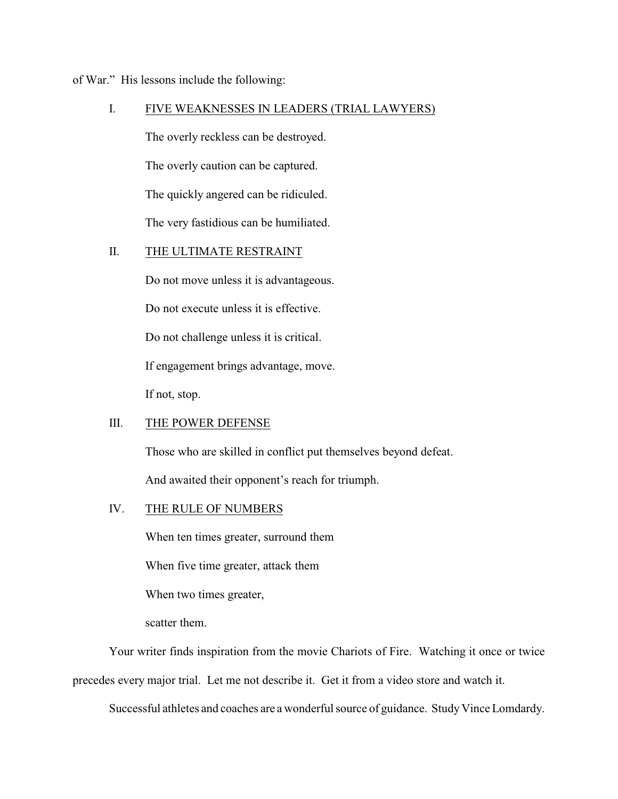of War." His lessons include the following:

## I. FIVE WEAKNESSES IN LEADERS (TRIAL LAWYERS)

The overly reckless can be destroyed.

The overly caution can be captured.

The quickly angered can be ridiculed.

The very fastidious can be humiliated.

## II. THE ULTIMATE RESTRAINT

Do not move unless it is advantageous.

Do not execute unless it is effective.

Do not challenge unless it is critical.

If engagement brings advantage, move.

If not, stop.

### III. THE POWER DEFENSE

Those who are skilled in conflict put themselves beyond defeat.

And awaited their opponent's reach for triumph.

### IV. THE RULE OF NUMBERS

When ten times greater, surround them

When five time greater, attack them

When two times greater,

scatter them.

Your writer finds inspiration from the movie Chariots of Fire. Watching it once or twice precedes every major trial. Let me not describe it. Get it from a video store and watch it.

Successful athletes and coaches are a wonderful source of guidance. Study Vince Lomdardy.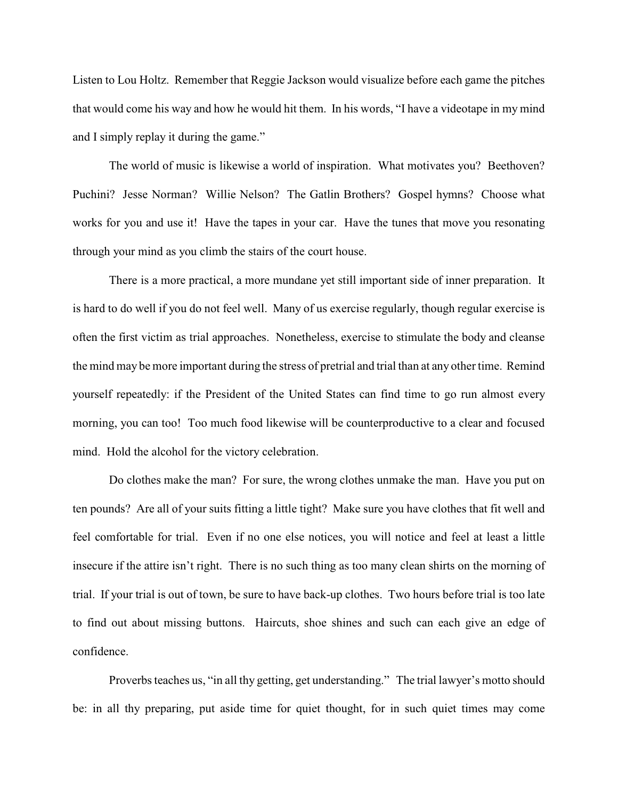Listen to Lou Holtz. Remember that Reggie Jackson would visualize before each game the pitches that would come his way and how he would hit them. In his words, "I have a videotape in my mind and I simply replay it during the game."

The world of music is likewise a world of inspiration. What motivates you? Beethoven? Puchini? Jesse Norman? Willie Nelson? The Gatlin Brothers? Gospel hymns? Choose what works for you and use it! Have the tapes in your car. Have the tunes that move you resonating through your mind as you climb the stairs of the court house.

There is a more practical, a more mundane yet still important side of inner preparation. It is hard to do well if you do not feel well. Many of us exercise regularly, though regular exercise is often the first victim as trial approaches. Nonetheless, exercise to stimulate the body and cleanse the mind may be more important during the stress of pretrial and trial than at any other time. Remind yourself repeatedly: if the President of the United States can find time to go run almost every morning, you can too! Too much food likewise will be counterproductive to a clear and focused mind. Hold the alcohol for the victory celebration.

Do clothes make the man? For sure, the wrong clothes unmake the man. Have you put on ten pounds? Are all of your suits fitting a little tight? Make sure you have clothes that fit well and feel comfortable for trial. Even if no one else notices, you will notice and feel at least a little insecure if the attire isn't right. There is no such thing as too many clean shirts on the morning of trial. If your trial is out of town, be sure to have back-up clothes. Two hours before trial is too late to find out about missing buttons. Haircuts, shoe shines and such can each give an edge of confidence.

Proverbs teaches us, "in all thy getting, get understanding." The trial lawyer's motto should be: in all thy preparing, put aside time for quiet thought, for in such quiet times may come